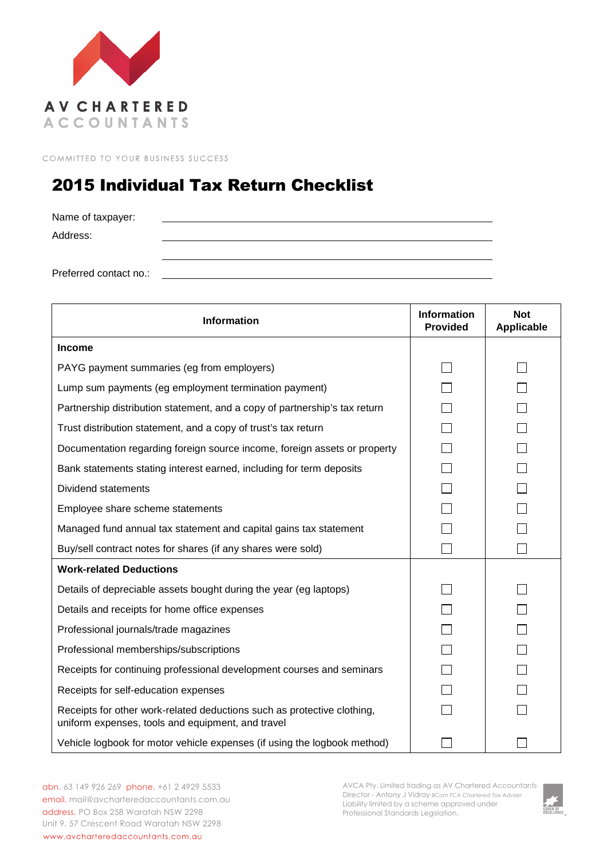

COMMITTED TO YOUR BUSINESS SUCCESS

## 2015 Individual Tax Return Checklist

Name of taxpayer: Address: Preferred contact no.:

| <b>Information</b>                                                                                                           | <b>Information</b><br><b>Provided</b> | <b>Not</b><br>Applicable |
|------------------------------------------------------------------------------------------------------------------------------|---------------------------------------|--------------------------|
| <b>Income</b>                                                                                                                |                                       |                          |
| PAYG payment summaries (eg from employers)                                                                                   |                                       |                          |
| Lump sum payments (eg employment termination payment)                                                                        |                                       |                          |
| Partnership distribution statement, and a copy of partnership's tax return                                                   |                                       |                          |
| Trust distribution statement, and a copy of trust's tax return                                                               |                                       |                          |
| Documentation regarding foreign source income, foreign assets or property                                                    |                                       |                          |
| Bank statements stating interest earned, including for term deposits                                                         |                                       |                          |
| Dividend statements                                                                                                          |                                       |                          |
| Employee share scheme statements                                                                                             |                                       |                          |
| Managed fund annual tax statement and capital gains tax statement                                                            |                                       |                          |
| Buy/sell contract notes for shares (if any shares were sold)                                                                 |                                       |                          |
| <b>Work-related Deductions</b>                                                                                               |                                       |                          |
| Details of depreciable assets bought during the year (eg laptops)                                                            |                                       |                          |
| Details and receipts for home office expenses                                                                                |                                       |                          |
| Professional journals/trade magazines                                                                                        |                                       |                          |
| Professional memberships/subscriptions                                                                                       |                                       |                          |
| Receipts for continuing professional development courses and seminars                                                        |                                       |                          |
| Receipts for self-education expenses                                                                                         |                                       |                          |
| Receipts for other work-related deductions such as protective clothing,<br>uniform expenses, tools and equipment, and travel |                                       |                          |
| Vehicle logbook for motor vehicle expenses (if using the logbook method)                                                     |                                       |                          |

abn. 63 149 926 269 phone. +61 2 4929 5533 email. mail@avcharteredaccountants.com.au address. PO Box 258 Waratah NSW 2298 Unit 9, 57 Crescent Road Waratah NSW 2298 www.avcharteredaccountants.com.au

AVCA Pty. Limited trading as AV Chartered Accountants Director - Antony J Vidray *BCom FCA Chartered Tax Adviser* Liability limited by a scheme approved under Professional Standards Legislation.